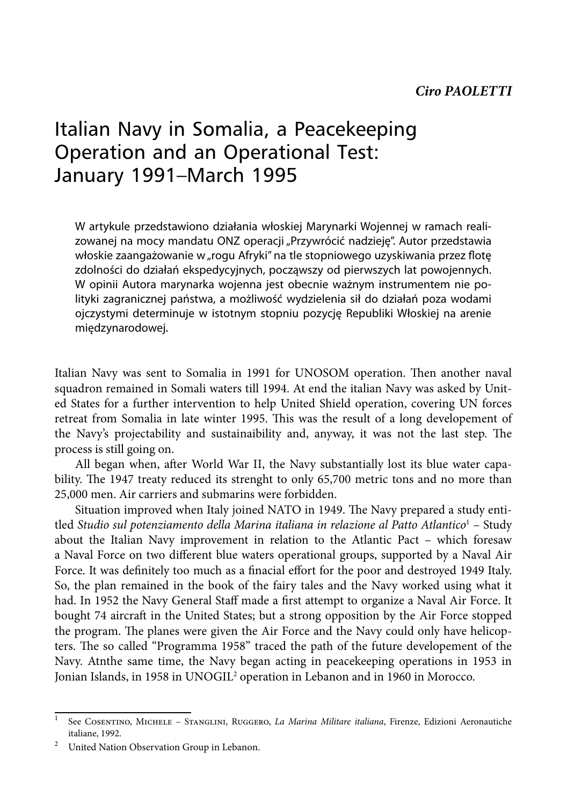## Italian Navy in Somalia, a Peacekeeping Operation and an Operational Test: January 1991–March 1995

W artykule przedstawiono działania włoskiej Marynarki Wojennej w ramach realizowanej na mocy mandatu ONZ operacji "Przywrócić nadzieję". Autor przedstawia włoskie zaangażowanie w "rogu Afryki" na tle stopniowego uzyskiwania przez flotę zdolności do działań ekspedycyjnych, począwszy od pierwszych lat powojennych. W opinii Autora marynarka wojenna jest obecnie ważnym instrumentem nie polityki zagranicznej państwa, a możliwość wydzielenia sił do działań poza wodami ojczystymi determinuje w istotnym stopniu pozycję Republiki Włoskiej na arenie międzynarodowej.

Italian Navy was sent to Somalia in 1991 for UNOSOM operation. Then another naval squadron remained in Somali waters till 1994. At end the italian Navy was asked by United States for a further intervention to help United Shield operation, covering UN forces retreat from Somalia in late winter 1995. This was the result of a long developement of the Navy's projectability and sustainaibility and, anyway, it was not the last step. The process is still going on.

All began when, after World War II, the Navy substantially lost its blue water capability. The 1947 treaty reduced its strenght to only 65,700 metric tons and no more than 25,000 men. Air carriers and submarins were forbidden.

Situation improved when Italy joined NATO in 1949. The Navy prepared a study entitled Studio sul potenziamento della Marina italiana in relazione al Patto Atlantico<sup>1</sup> – Study about the Italian Navy improvement in relation to the Atlantic Pact – which foresaw a Naval Force on two different blue waters operational groups, supported by a Naval Air Force. It was definitely too much as a finacial effort for the poor and destroyed 1949 Italy. So, the plan remained in the book of the fairy tales and the Navy worked using what it had. In 1952 the Navy General Staff made a first attempt to organize a Naval Air Force. It bought 74 aircraft in the United States; but a strong opposition by the Air Force stopped the program. The planes were given the Air Force and the Navy could only have helicopters. The so called "Programma 1958" traced the path of the future developement of the Navy. Atnthe same time, the Navy began acting in peacekeeping operations in 1953 in Jonian Islands, in 1958 in UNOGIL<sup>2</sup> operation in Lebanon and in 1960 in Morocco.

<sup>1</sup> See Cosentino, Michele – Stanglini, Ruggero, *La Marina Militare italiana*, Firenze, Edizioni Aeronautiche

italiane, 1992. 2 United Nation Observation Group in Lebanon.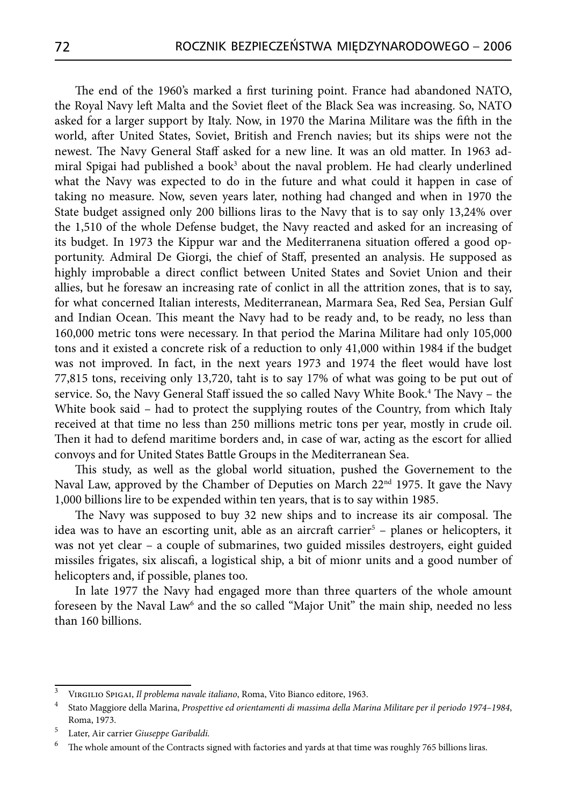The end of the 1960's marked a first turining point. France had abandoned NATO, the Royal Navy left Malta and the Soviet fleet of the Black Sea was increasing. So, NATO asked for a larger support by Italy. Now, in 1970 the Marina Militare was the fifth in the world, after United States, Soviet, British and French navies; but its ships were not the newest. The Navy General Staff asked for a new line. It was an old matter. In 1963 admiral Spigai had published a book<sup>3</sup> about the naval problem. He had clearly underlined what the Navy was expected to do in the future and what could it happen in case of taking no measure. Now, seven years later, nothing had changed and when in 1970 the State budget assigned only 200 billions liras to the Navy that is to say only 13,24% over the 1,510 of the whole Defense budget, the Navy reacted and asked for an increasing of its budget. In 1973 the Kippur war and the Mediterranena situation offered a good opportunity. Admiral De Giorgi, the chief of Staff, presented an analysis. He supposed as highly improbable a direct conflict between United States and Soviet Union and their allies, but he foresaw an increasing rate of conlict in all the attrition zones, that is to say, for what concerned Italian interests, Mediterranean, Marmara Sea, Red Sea, Persian Gulf and Indian Ocean. This meant the Navy had to be ready and, to be ready, no less than 160,000 metric tons were necessary. In that period the Marina Militare had only 105,000 tons and it existed a concrete risk of a reduction to only 41,000 within 1984 if the budget was not improved. In fact, in the next years 1973 and 1974 the fleet would have lost 77,815 tons, receiving only 13,720, taht is to say 17% of what was going to be put out of service. So, the Navy General Staff issued the so called Navy White Book.<sup>4</sup> The Navy – the White book said – had to protect the supplying routes of the Country, from which Italy received at that time no less than 250 millions metric tons per year, mostly in crude oil. Then it had to defend maritime borders and, in case of war, acting as the escort for allied convoys and for United States Battle Groups in the Mediterranean Sea.

This study, as well as the global world situation, pushed the Governement to the Naval Law, approved by the Chamber of Deputies on March  $22<sup>nd</sup>$  1975. It gave the Navy 1,000 billions lire to be expended within ten years, that is to say within 1985.

The Navy was supposed to buy 32 new ships and to increase its air composal. The idea was to have an escorting unit, able as an aircraft carrier<sup>5</sup> – planes or helicopters, it was not yet clear – a couple of submarines, two guided missiles destroyers, eight guided missiles frigates, six aliscafi, a logistical ship, a bit of mionr units and a good number of helicopters and, if possible, planes too.

In late 1977 the Navy had engaged more than three quarters of the whole amount foreseen by the Naval Law<sup>6</sup> and the so called "Major Unit" the main ship, needed no less than 160 billions.

<sup>3</sup> Virgilio Spigai, *Il problema navale italiano*, Roma, Vito Bianco editore, 1963.

<sup>4</sup> Stato Maggiore della Marina, *Prospettive ed orientamenti di massima della Marina Militare per il periodo 1974–1984*, Roma, 1973. 5 Later, Air carrier *Giuseppe Garibaldi.* 

 $^6$  The whole amount of the Contracts signed with factories and yards at that time was roughly 765 billions liras.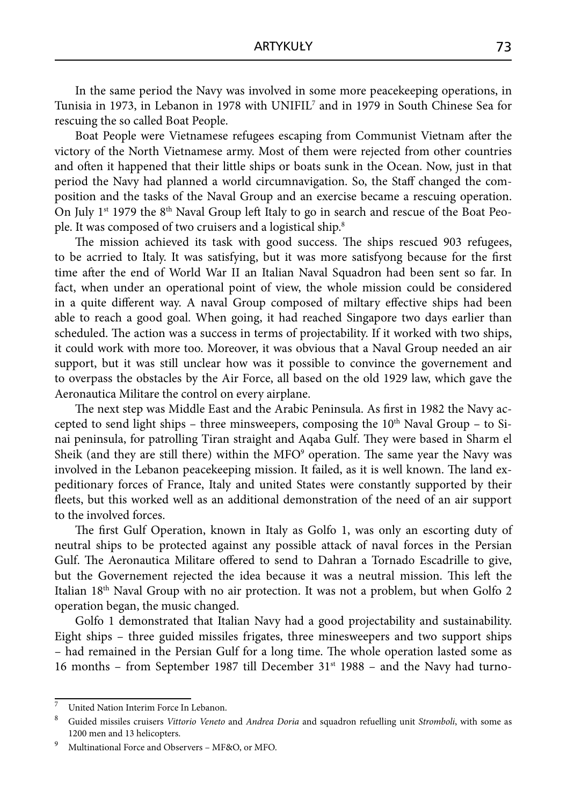In the same period the Navy was involved in some more peacekeeping operations, in Tunisia in 1973, in Lebanon in 1978 with UNIFIL7 and in 1979 in South Chinese Sea for rescuing the so called Boat People.

Boat People were Vietnamese refugees escaping from Communist Vietnam after the victory of the North Vietnamese army. Most of them were rejected from other countries and often it happened that their little ships or boats sunk in the Ocean. Now, just in that period the Navy had planned a world circumnavigation. So, the Staff changed the composition and the tasks of the Naval Group and an exercise became a rescuing operation. On July 1<sup>st</sup> 1979 the 8<sup>th</sup> Naval Group left Italy to go in search and rescue of the Boat People. It was composed of two cruisers and a logistical ship.8

The mission achieved its task with good success. The ships rescued 903 refugees, to be acrried to Italy. It was satisfying, but it was more satisfyong because for the first time after the end of World War II an Italian Naval Squadron had been sent so far. In fact, when under an operational point of view, the whole mission could be considered in a quite different way. A naval Group composed of miltary effective ships had been able to reach a good goal. When going, it had reached Singapore two days earlier than scheduled. The action was a success in terms of projectability. If it worked with two ships, it could work with more too. Moreover, it was obvious that a Naval Group needed an air support, but it was still unclear how was it possible to convince the governement and to overpass the obstacles by the Air Force, all based on the old 1929 law, which gave the Aeronautica Militare the control on every airplane.

The next step was Middle East and the Arabic Peninsula. As first in 1982 the Navy accepted to send light ships – three minsweepers, composing the  $10<sup>th</sup>$  Naval Group – to Sinai peninsula, for patrolling Tiran straight and Aqaba Gulf. They were based in Sharm el Sheik (and they are still there) within the MFO<sup>9</sup> operation. The same year the Navy was involved in the Lebanon peacekeeping mission. It failed, as it is well known. The land expeditionary forces of France, Italy and united States were constantly supported by their fleets, but this worked well as an additional demonstration of the need of an air support to the involved forces.

The first Gulf Operation, known in Italy as Golfo 1, was only an escorting duty of neutral ships to be protected against any possible attack of naval forces in the Persian Gulf. The Aeronautica Militare offered to send to Dahran a Tornado Escadrille to give, but the Governement rejected the idea because it was a neutral mission. This left the Italian 18<sup>th</sup> Naval Group with no air protection. It was not a problem, but when Golfo 2 operation began, the music changed.

Golfo 1 demonstrated that Italian Navy had a good projectability and sustainability. Eight ships – three guided missiles frigates, three minesweepers and two support ships – had remained in the Persian Gulf for a long time. The whole operation lasted some as 16 months – from September 1987 till December  $31<sup>st</sup>$  1988 – and the Navy had turno-

<sup>7</sup> United Nation Interim Force In Lebanon.

<sup>8</sup> Guided missiles cruisers *Vittorio Veneto* and *Andrea Doria* and squadron refuelling unit *Stromboli*, with some as 1200 men and 13 helicopters.<br>Multinational Force and Observers – MF&O, or MFO.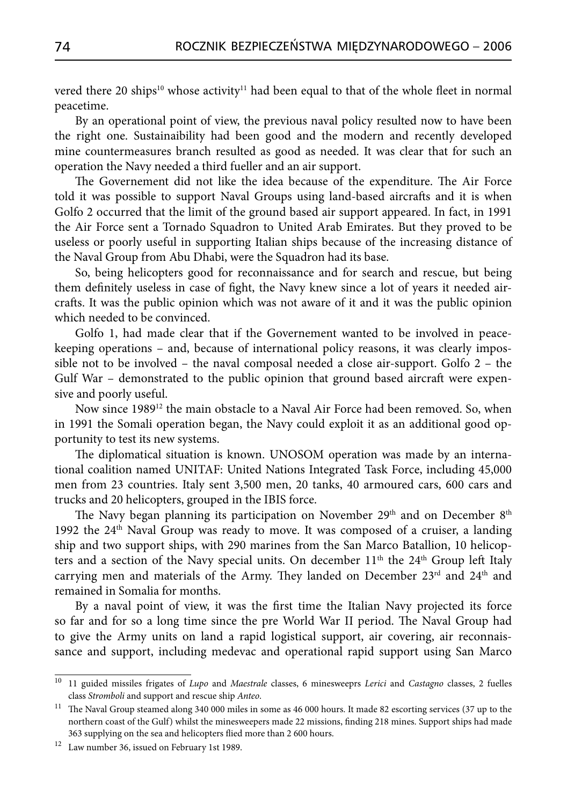vered there 20 ships<sup>10</sup> whose activity<sup>11</sup> had been equal to that of the whole fleet in normal peacetime.

By an operational point of view, the previous naval policy resulted now to have been the right one. Sustainaibility had been good and the modern and recently developed mine countermeasures branch resulted as good as needed. It was clear that for such an operation the Navy needed a third fueller and an air support.

The Governement did not like the idea because of the expenditure. The Air Force told it was possible to support Naval Groups using land-based aircrafts and it is when Golfo 2 occurred that the limit of the ground based air support appeared. In fact, in 1991 the Air Force sent a Tornado Squadron to United Arab Emirates. But they proved to be useless or poorly useful in supporting Italian ships because of the increasing distance of the Naval Group from Abu Dhabi, were the Squadron had its base.

So, being helicopters good for reconnaissance and for search and rescue, but being them definitely useless in case of fight, the Navy knew since a lot of years it needed aircrafts. It was the public opinion which was not aware of it and it was the public opinion which needed to be convinced.

Golfo 1, had made clear that if the Governement wanted to be involved in peacekeeping operations – and, because of international policy reasons, it was clearly impossible not to be involved – the naval composal needed a close air-support. Golfo 2 – the Gulf War – demonstrated to the public opinion that ground based aircraft were expensive and poorly useful.

Now since 1989<sup>12</sup> the main obstacle to a Naval Air Force had been removed. So, when in 1991 the Somali operation began, the Navy could exploit it as an additional good opportunity to test its new systems.

The diplomatical situation is known. UNOSOM operation was made by an international coalition named UNITAF: United Nations Integrated Task Force, including 45,000 men from 23 countries. Italy sent 3,500 men, 20 tanks, 40 armoured cars, 600 cars and trucks and 20 helicopters, grouped in the IBIS force.

The Navy began planning its participation on November 29<sup>th</sup> and on December 8<sup>th</sup> 1992 the  $24<sup>th</sup>$  Naval Group was ready to move. It was composed of a cruiser, a landing ship and two support ships, with 290 marines from the San Marco Batallion, 10 helicopters and a section of the Navy special units. On december  $11<sup>th</sup>$  the  $24<sup>th</sup>$  Group left Italy carrying men and materials of the Army. They landed on December  $23<sup>rd</sup>$  and  $24<sup>th</sup>$  and remained in Somalia for months.

By a naval point of view, it was the first time the Italian Navy projected its force so far and for so a long time since the pre World War II period. The Naval Group had to give the Army units on land a rapid logistical support, air covering, air reconnaissance and support, including medevac and operational rapid support using San Marco

<sup>10</sup> 11 guided missiles frigates of *Lupo* and *Maestrale* classes, 6 minesweeprs *Lerici* and *Castagno* classes, 2 fuelles class *Stromboli* and support and rescue ship *Anteo*.

 $11$  The Naval Group steamed along 340 000 miles in some as 46 000 hours. It made 82 escorting services (37 up to the northern coast of the Gulf) whilst the minesweepers made 22 missions, finding 218 mines. Support ships had made 363 supplying on the sea and helicopters flied more than 2 600 hours.

<sup>12</sup> Law number 36, issued on February 1st 1989.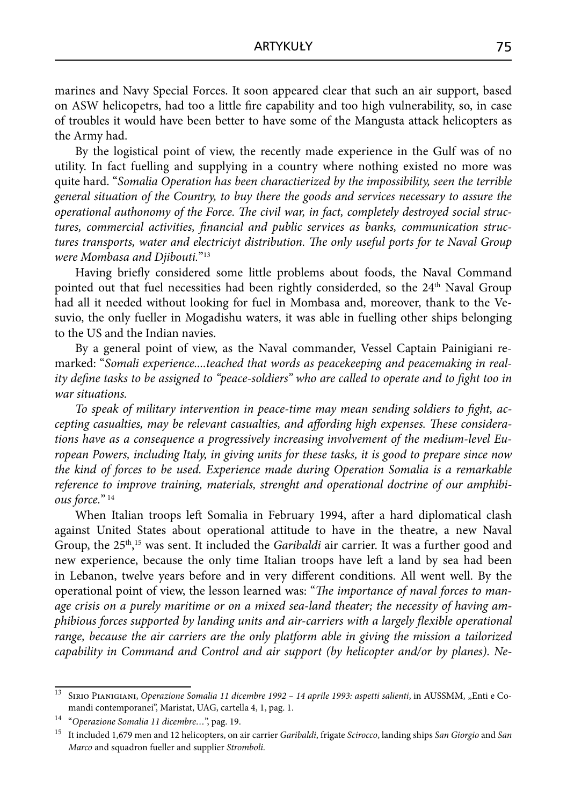marines and Navy Special Forces. It soon appeared clear that such an air support, based on ASW helicopetrs, had too a little fire capability and too high vulnerability, so, in case of troubles it would have been better to have some of the Mangusta attack helicopters as the Army had.

By the logistical point of view, the recently made experience in the Gulf was of no utility. In fact fuelling and supplying in a country where nothing existed no more was quite hard. "*Somalia Operation has been charactierized by the impossibility, seen the terrible general situation of the Country, to buy there the goods and services necessary to assure the*  operational authonomy of the Force. The civil war, in fact, completely destroyed social structures, commercial activities, financial and public services as banks, communication struc*tures transports, water and electriciyt distribution. The only useful ports for te Naval Group were Mombasa and Djibouti.*"13

Having briefly considered some little problems about foods, the Naval Command pointed out that fuel necessities had been rightly considerded, so the 24<sup>th</sup> Naval Group had all it needed without looking for fuel in Mombasa and, moreover, thank to the Vesuvio, the only fueller in Mogadishu waters, it was able in fuelling other ships belonging to the US and the Indian navies.

By a general point of view, as the Naval commander, Vessel Captain Painigiani remarked: "*Somali experience....teached that words as peacekeeping and peacemaking in reality define tasks to be assigned to "peace-soldiers" who are called to operate and to fight too in war situations.* 

To speak of military intervention in peace-time may mean sending soldiers to fight, accepting casualties, may be relevant casualties, and affording high expenses. These considera*tions have as a consequence a progressively increasing involvement of the medium-level European Powers, including Italy, in giving units for these tasks, it is good to prepare since now the kind of forces to be used. Experience made during Operation Somalia is a remarkable reference to improve training, materials, strenght and operational doctrine of our amphibious force.*" 14

When Italian troops left Somalia in February 1994, after a hard diplomatical clash against United States about operational attitude to have in the theatre, a new Naval Group, the 25<sup>th</sup>,<sup>15</sup> was sent. It included the *Garibaldi* air carrier. It was a further good and new experience, because the only time Italian troops have left a land by sea had been in Lebanon, twelve years before and in very different conditions. All went well. By the operational point of view, the lesson learned was: "The *importance of naval forces to manage crisis on a purely maritime or on a mixed sea-land theater; the necessity of having amphibious forces supported by landing units and air-carriers with a largely flexible operational range, because the air carriers are the only platform able in giving the mission a tailorized capability in Command and Control and air support (by helicopter and/or by planes). Ne-*

<sup>&</sup>lt;sup>13</sup> SIRIO PIANIGIANI, *Operazione Somalia 11 dicembre 1992 – 14 aprile 1993: aspetti salienti*, in AUSSMM, "Enti e Comandi contemporanei", Maristat, UAG, cartella 4, 1, pag. 1.

<sup>&</sup>lt;sup>14</sup> "Operazione Somalia 11 dicembre...", pag. 19.<br><sup>15</sup> It included 1,679 men and 12 helicopters, on air carrier *Garibaldi*, frigate *Scirocco*, landing ships *San Giorgio* and *San Marco* and squadron fueller and supplier *Stromboli*.